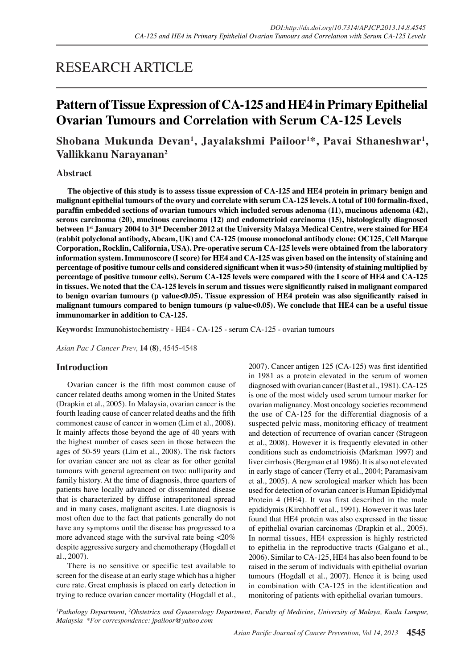# RESEARCH ARTICLE

## **Pattern of Tissue Expression of CA-125 and HE4 in Primary Epithelial Ovarian Tumours and Correlation with Serum CA-125 Levels**

## **Shobana Mukunda Devan<sup>1</sup> , Jayalakshmi Pailoor<sup>1</sup> \*, Pavai Sthaneshwar<sup>1</sup> , Vallikkanu Narayanan<sup>2</sup>**

## **Abstract**

**The objective of this study is to assess tissue expression of CA-125 and HE4 protein in primary benign and malignant epithelial tumours of the ovary and correlate with serum CA-125 levels. A total of 100 formalin-fixed, paraffin embedded sections of ovarian tumours which included serous adenoma (11), mucinous adenoma (42), serous carcinoma (20), mucinous carcinoma (12) and endometrioid carcinoma (15), histologically diagnosed between 1st January 2004 to 31st December 2012 at the University Malaya Medical Centre, were stained for HE4 (rabbit polyclonal antibody, Abcam, UK) and CA-125 (mouse monoclonal antibody clone: OC125, Cell Marque Corporation, Rocklin, California, USA). Pre-operative serum CA-125 levels were obtained from the laboratory information system. Immunoscore (I score) for HE4 and CA-125 was given based on the intensity of staining and percentage of positive tumour cells and considered significant when it was >50 (intensity of staining multiplied by percentage of positive tumour cells). Serum CA-125 levels were compared with the I score of HE4 and CA-125 in tissues. We noted that the CA-125 levels in serum and tissues were significantly raised in malignant compared to benign ovarian tumours (p value<0.05). Tissue expression of HE4 protein was also significantly raised in malignant tumours compared to benign tumours (p value<0.05). We conclude that HE4 can be a useful tissue immunomarker in addition to CA-125.**

**Keywords:** Immunohistochemistry - HE4 - CA-125 - serum CA-125 - ovarian tumours

*Asian Pac J Cancer Prev,* **14 (8)**, 4545-4548

## **Introduction**

Ovarian cancer is the fifth most common cause of cancer related deaths among women in the United States (Drapkin et al., 2005). In Malaysia, ovarian cancer is the fourth leading cause of cancer related deaths and the fifth commonest cause of cancer in women (Lim et al., 2008). It mainly affects those beyond the age of 40 years with the highest number of cases seen in those between the ages of 50-59 years (Lim et al., 2008). The risk factors for ovarian cancer are not as clear as for other genital tumours with general agreement on two: nulliparity and family history. At the time of diagnosis, three quarters of patients have locally advanced or disseminated disease that is characterized by diffuse intraperitoneal spread and in many cases, malignant ascites. Late diagnosis is most often due to the fact that patients generally do not have any symptoms until the disease has progressed to a more advanced stage with the survival rate being <20% despite aggressive surgery and chemotherapy (Hogdall et al., 2007).

There is no sensitive or specific test available to screen for the disease at an early stage which has a higher cure rate. Great emphasis is placed on early detection in trying to reduce ovarian cancer mortality (Hogdall et al., 2007). Cancer antigen 125 (CA-125) was first identified in 1981 as a protein elevated in the serum of women diagnosed with ovarian cancer (Bast et al., 1981). CA-125 is one of the most widely used serum tumour marker for ovarian malignancy. Most oncology societies recommend the use of CA-125 for the differential diagnosis of a suspected pelvic mass, monitoring efficacy of treatment and detection of recurrence of ovarian cancer (Strugeon et al., 2008). However it is frequently elevated in other conditions such as endometrioisis (Markman 1997) and liver cirrhosis (Bergman et al 1986). It is also not elevated in early stage of cancer (Terry et al., 2004; Paramasivam et al., 2005). A new serological marker which has been used for detection of ovarian cancer is Human Epididymal Protein 4 (HE4). It was first described in the male epididymis (Kirchhoff et al., 1991). However it was later found that HE4 protein was also expressed in the tissue of epithelial ovarian carcinomas (Drapkin et al., 2005). In normal tissues, HE4 expression is highly restricted to epithelia in the reproductive tracts (Galgano et al., 2006). Similar to CA-125, HE4 has also been found to be raised in the serum of individuals with epithelial ovarian tumours (Hogdall et al., 2007). Hence it is being used in combination with CA-125 in the identification and monitoring of patients with epithelial ovarian tumours.

<sup>1</sup> Pathology Department, <sup>2</sup>Obstetrics and Gynaecology Department, Faculty of Medicine, University of Malaya, Kuala Lumpur, *Malaysia \*For correspondence: jpailoor@yahoo.com*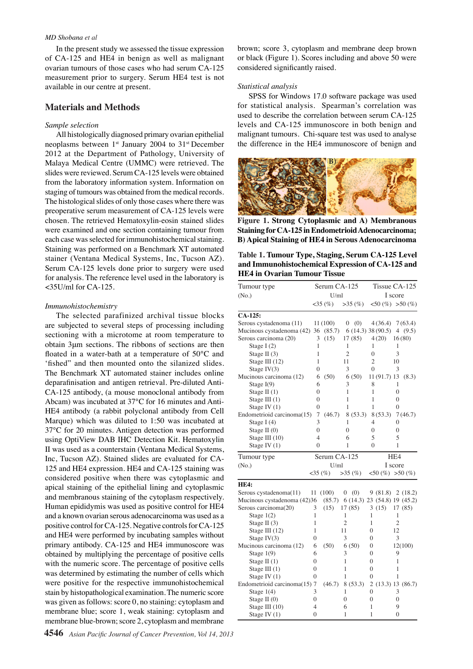#### *MD Shobana et al*

In the present study we assessed the tissue expression of CA-125 and HE4 in benign as well as malignant ovarian tumours of those cases who had serum CA-125 measurement prior to surgery. Serum HE4 test is not available in our centre at present.

### **Materials and Methods**

#### *Sample selection*

All histologically diagnosed primary ovarian epithelial neoplasms between  $1^{st}$  January 2004 to  $31^{st}$  December 2012 at the Department of Pathology, University of Malaya Medical Centre (UMMC) were retrieved. The slides were reviewed. Serum CA-125 levels were obtained from the laboratory information system. Information on staging of tumours was obtained from the medical records. The histological slides of only those cases where there was preoperative serum measurement of CA-125 levels were chosen. The retrieved Hematoxylin-eosin stained slides were examined and one section containing tumour from each case was selected for immunohistochemical staining. Staining was performed on a Benchmark XT automated stainer (Ventana Medical Systems, Inc, Tucson AZ). Serum CA-125 levels done prior to surgery were used for analysis. The reference level used in the laboratory is <35U/ml for CA-125.

#### *Immunohistochemistry*

The selected parafinized archival tissue blocks are subjected to several steps of processing including sectioning with a microtome at room temperature to obtain 3μm sections. The ribbons of sections are then floated in a water-bath at a temperature of 50°C and 'fished" and then mounted onto the silanized slides. The Benchmark XT automated stainer includes online deparafinisation and antigen retrieval. Pre-diluted Anti-CA-125 antibody, (a mouse monoclonal antibody from Abcam) was incubated at 37°C for 16 minutes and Anti-HE4 antibody (a rabbit polyclonal antibody from Cell Marque) which was diluted to 1:50 was incubated at 37°C for 20 minutes. Antigen detection was performed using OptiView DAB IHC Detection Kit. Hematoxylin II was used as a counterstain (Ventana Medical Systems, Inc, Tucson AZ). Stained slides are evaluated for CA-125 and HE4 expression. HE4 and CA-125 staining was considered positive when there was cytoplasmic and apical staining of the epithelial lining and cytoplasmic and membranous staining of the cytoplasm respectively. Human epididymis was used as positive control for HE4 and a known ovarian serous adenocarcinoma was used as a positive control for CA-125. Negative controls for CA-125 and HE4 were performed by incubating samples without primary antibody. CA-125 and HE4 immunoscore was obtained by multiplying the percentage of positive cells with the numeric score. The percentage of positive cells was determined by estimating the number of cells which were positive for the respective immunohistochemical stain by histopathological examination. The numeric score was given as follows: score 0, no staining: cytoplasm and membrane blue; score 1, weak staining: cytoplasm and membrane blue-brown; score 2, cytoplasm and membrane

brown; score 3, cytoplasm and membrane deep brown or black (Figure 1). Scores including and above 50 were considered significantly raised.

#### *Statistical analysis*

SPSS for Windows 17.0 software package was used for statistical analysis. Spearman's correlation was used to describe the correlation between serum CA-125 levels and CA-125 immunoscore in both benign and malignant tumours. Chi-square test was used to analyse the difference in the HE4 immunoscore of benign and



**Figure 1. Strong Cytoplasmic and A) Membranous Staining for CA-125 in Endometrioid Adenocarcinoma; B) Apical Staining of HE4 in Serous Adenocarcinoma**

**Table 1. Tumour Type, Staging, Serum CA-125 Level and Immunohistochemical Expression of CA-125 and HE4 in Ovarian Tumour Tissue**

| Tumour type                  |                | Serum CA-125 |                               | Tissue CA-125   |                              |  |
|------------------------------|----------------|--------------|-------------------------------|-----------------|------------------------------|--|
| (No.)                        | U/ml           |              |                               | I score         |                              |  |
|                              |                | $35\,(%)$    | >35(%)                        |                 | $50\,(%)\;50\,(%)$           |  |
| $CA-125:$                    |                |              |                               |                 |                              |  |
| Serous cystadenoma (11)      |                | 11 (100)     | (0)<br>$\overline{0}$         | 4(36.4)         | 7(63.4)                      |  |
| Mucinous cystadenoma (42) 36 |                | (85.7)       |                               | 6(14.3)38(90.5) | 4 $(9.5)$                    |  |
| Serous carcinoma (20)        | 3              | (15)         | 17(85)                        | 4(20)           | 16(80)                       |  |
| Stage I $(2)$                | 1              |              | 1                             | 1               | 1                            |  |
| Stage II $(3)$               | $\mathbf{1}$   |              | $\overline{c}$                | $\theta$        | 3                            |  |
| Stage III $(12)$             | 1              |              | 11                            | $\overline{2}$  | 10                           |  |
| Stage $IV(3)$                | $\Omega$       |              | 3                             | 0               | 3                            |  |
| Mucinous carcinoma (12)      | 6              | (50)         | 6(50)                         | 11 (91.7) 13    | (8.3)                        |  |
| Stage $I(9)$                 | 6              |              | 3                             | 8               | 1                            |  |
| Stage II $(1)$               | 0              |              | 1                             | 1               | $\overline{0}$               |  |
| Stage III $(1)$              | $\theta$       |              | 1                             | 1               | $\overline{0}$               |  |
| Stage IV $(1)$               | $\Omega$       |              | 1                             | 1               | $\theta$                     |  |
| Endometrioid carcinoma(15)   | $\overline{7}$ | (46.7)       | 8(53.3)                       | 8 (53.3)        | 7(46.7)                      |  |
| Stage I $(4)$                | 3              |              | 1                             | 4               | 0                            |  |
| Stage II (0)                 | $\theta$       |              | $\theta$                      | 0               | 0                            |  |
| Stage III $(10)$             | $\overline{4}$ |              | 6                             | 5               | 5                            |  |
| Stage IV (1)                 | $\Omega$       |              | 1                             | $\theta$        | 1                            |  |
| Tumour type                  |                | Serum CA-125 |                               | HE4             |                              |  |
| (No.)                        | U/ml           |              |                               |                 | I score                      |  |
|                              |                | $35\,(%)$    | $>35$ (%) $<50$ (%) $>50$ (%) |                 |                              |  |
| <b>HE4:</b>                  |                |              |                               |                 |                              |  |
| Serous cystadenoma(11)       | 11             | (100)        | (0)<br>0                      | 9(81.8)         | 2(18.2)                      |  |
| Mucinous cystadenoma (42)36  |                | (85.7)       |                               |                 |                              |  |
|                              |                |              |                               |                 | 6 (14.3) 23 (54.8) 19 (45.2) |  |
| Serous carcinoma(20)         | 3              | (15)         | 17(85)                        | 3(15)           | 17 (85)                      |  |
| Stage $1(2)$                 | 1              |              | 1                             | 1               | 1                            |  |
| Stage II $(3)$               | 1              |              | $\overline{c}$                | 1               | $\overline{2}$               |  |
| Stage III $(12)$             | $\mathbf{1}$   |              | 11                            | $\theta$        | 12                           |  |
| Stage IV(3)                  | $\theta$       |              | 3                             | $\theta$        | 3                            |  |
| Mucinous carcinoma (12)      | 6              | (50)         | 6(50)                         | 0               | 12(100)                      |  |
| Stage $1(9)$                 | 6              |              | 3                             | 0               | 9                            |  |
| Stage II $(1)$               | $\overline{0}$ |              | 1                             | $\theta$        | 1                            |  |
| Stage III $(1)$              | $\theta$       |              | 1                             | $\theta$        | 1                            |  |
| Stage IV (1)                 | $\theta$       |              | 1                             | $\theta$        | 1                            |  |
| Endometrioid carcinoma(15) 7 |                | (46.7)       | 8 (53.3)                      |                 | 2(13.3)13(86.7)              |  |
| Stage $1(4)$                 | 3              |              | 1                             | $\mathbf{0}$    | 3                            |  |
| Stage II $(0)$               | $\overline{0}$ |              | $\mathbf{0}$                  | 0               | $\mathbf{0}$                 |  |
| Stage III $(10)$             | $\overline{4}$ |              | 6                             | 1               | 9                            |  |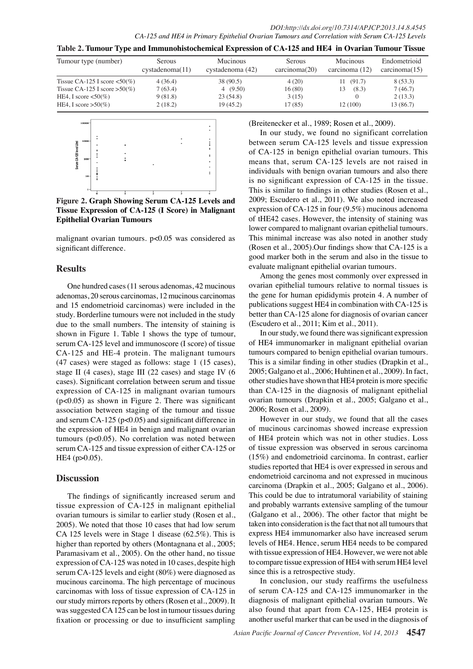*DOI:http://dx.doi.org/10.7314/APJCP.2013.14.8.4545 CA-125 and HE4 in Primary Epithelial Ovarian Tumours and Correlation with Serum CA-125 Levels*

| Table 2. Tumour Type and Immunohistochemical Expression of CA-125 and HE4 in Ovarian Tumour Tissue |                                  |                              |                                |                            |                               |  |  |  |
|----------------------------------------------------------------------------------------------------|----------------------------------|------------------------------|--------------------------------|----------------------------|-------------------------------|--|--|--|
| Tumour type (number)                                                                               | <b>Serous</b><br>cystadenoma(11) | Mucinous<br>cystadenoma (42) | <b>Serous</b><br>carcinoma(20) | Mucinous<br>carcinoma (12) | Endometrioid<br>carcinoma(15) |  |  |  |
| Tissue CA-125 I score $\langle 50 \rangle$                                                         | 4(36.4)                          | 38 (90.5)                    | 4(20)                          | 11(91.7)                   | 8(53.3)                       |  |  |  |
| Tissue CA-125 I score $>50\%$ )                                                                    | 7(63.4)                          | (9.50)                       | 16(80)                         | (8.3)<br>13                | 7(46.7)                       |  |  |  |
| HE4, I score $\lt 50\%$ )                                                                          | 9(81.8)                          | 23(54.8)                     | 3(15)                          |                            | 2(13.3)                       |  |  |  |
| HE4, I score $>50\%$ )                                                                             | 2(18.2)                          | 19(45.2)                     | 17(85)                         | 12 (100)                   | 13(86.7)                      |  |  |  |



**Figure 2. Graph Showing Serum CA-125 Levels and Tissue Expression of CA-125 (I Score) in Malignant Epithelial Ovarian Tumours**

malignant ovarian tumours. p<0.05 was considered as significant difference.

## **Results**

One hundred cases (11 serous adenomas, 42 mucinous adenomas, 20 serous carcinomas, 12 mucinous carcinomas and 15 endometrioid carcinomas) were included in the study. Borderline tumours were not included in the study due to the small numbers. The intensity of staining is shown in Figure 1. Table 1 shows the type of tumour, serum CA-125 level and immunoscore (I score) of tissue CA-125 and HE-4 protein. The malignant tumours (47 cases) were staged as follows: stage 1 (15 cases), stage II (4 cases), stage III (22 cases) and stage IV (6 cases). Significant correlation between serum and tissue expression of CA-125 in malignant ovarian tumours (p<0.05) as shown in Figure 2. There was significant association between staging of the tumour and tissue and serum CA-125 (p<0.05) and significant difference in the expression of HE4 in benign and malignant ovarian tumours (p<0.05). No correlation was noted between serum CA-125 and tissue expression of either CA-125 or HE4 (p>0.05).

## **Discussion**

The findings of significantly increased serum and tissue expression of CA-125 in malignant epithelial ovarian tumours is similar to earlier study (Rosen et al., 2005). We noted that those 10 cases that had low serum CA 125 levels were in Stage 1 disease (62.5%). This is higher than reported by others (Montagnana et al., 2005; Paramasivam et al., 2005). On the other hand, no tissue expression of CA-125 was noted in 10 cases, despite high serum CA-125 levels and eight (80%) were diagnosed as mucinous carcinoma. The high percentage of mucinous carcinomas with loss of tissue expression of CA-125 in our study mirrors reports by others (Rosen et al., 2009). It was suggested CA 125 can be lost in tumour tissues during fixation or processing or due to insufficient sampling

(Breitenecker et al., 1989; Rosen et al., 2009).

In our study, we found no significant correlation between serum CA-125 levels and tissue expression of CA-125 in benign epithelial ovarian tumours. This means that, serum CA-125 levels are not raised in individuals with benign ovarian tumours and also there is no significant expression of CA-125 in the tissue. This is similar to findings in other studies (Rosen et al., 2009; Escudero et al., 2011). We also noted increased expression of CA-125 in four (9.5%) mucinous adenoma of tHE42 cases. However, the intensity of staining was lower compared to malignant ovarian epithelial tumours. This minimal increase was also noted in another study (Rosen et al., 2005).Our findings show that CA-125 is a good marker both in the serum and also in the tissue to evaluate malignant epithelial ovarian tumours.

Among the genes most commonly over expressed in ovarian epithelial tumours relative to normal tissues is the gene for human epididymis protein 4. A number of publications suggest HE4 in combination with CA-125 is better than CA-125 alone for diagnosis of ovarian cancer (Escudero et al., 2011; Kim et al., 2011).

In our study, we found there was significant expression of HE4 immunomarker in malignant epithelial ovarian tumours compared to benign epithelial ovarian tumours. This is a similar finding in other studies (Drapkin et al., 2005; Galgano et al., 2006; Huhtinen et al., 2009). In fact, other studies have shown that HE4 protein is more specific than CA-125 in the diagnosis of malignant epithelial ovarian tumours (Drapkin et al., 2005; Galgano et al., 2006; Rosen et al., 2009).

However in our study, we found that all the cases of mucinous carcinomas showed increase expression of HE4 protein which was not in other studies. Loss of tissue expression was observed in serous carcinoma (15%) and endometrioid carcinoma. In contrast, earlier studies reported that HE4 is over expressed in serous and endometrioid carcinoma and not expressed in mucinous carcinoma (Drapkin et al., 2005; Galgano et al., 2006). This could be due to intratumoral variability of staining and probably warrants extensive sampling of the tumour (Galgano et al., 2006). The other factor that might be taken into consideration is the fact that not all tumours that express HE4 immunomarker also have increased serum levels of HE4. Hence, serum HE4 needs to be compared with tissue expression of HE4. However, we were not able to compare tissue expression of HE4 with serum HE4 level since this is a retrospective study.

In conclusion, our study reaffirms the usefulness of serum CA-125 and CA-125 immunomarker in the diagnosis of malignant epithelial ovarian tumours. We also found that apart from CA-125, HE4 protein is another useful marker that can be used in the diagnosis of